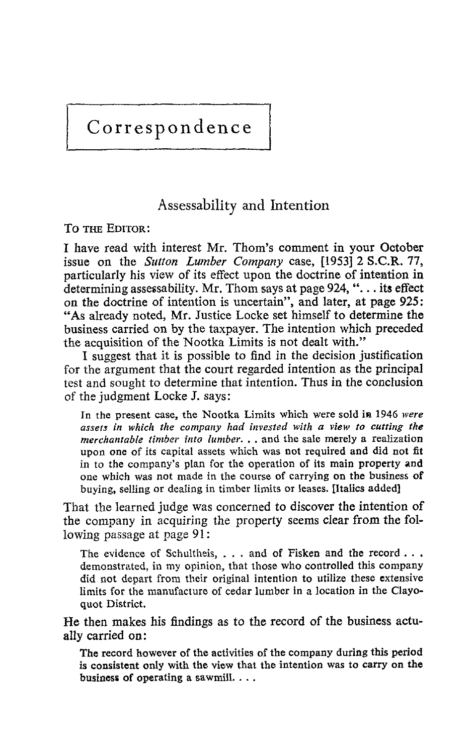# Correspondence

## Assessability and Intention

TO THE EDITOR:

<sup>I</sup> have read with interest Mr. Thom's comment in your October issue on the Sutton Lumber Company case, [1953] 2 S.C.R. 77, particularly his view of its effect upon the doctrine of intention in determining assessability. Mr. Thom says at page  $924, \dots$  its effect on the doctrine of intention is uncertain", and later, at page 925 : "As already noted, Mr. Justice Locke set himself to determine the business carried on by the taxpayer. The intention which preceded the acquisition of the Nootka Limits is not dealt with ."

<sup>I</sup> suggest that it is possible to find in the decision justification for the argument that the court regarded intention as the principal test and sought to determine that intention. Thus in the conclusion of the judgment Locke J. says :

In the present case, the Nootka Limits which were sold in 1946 were assets in which the company had invested with a view to cutting the merchantable timber into lumber.  $\ldots$  and the sale merely a realization upon one of its capital assets which was not required and did not fit in to the company's plan for the operation of its main property and one which was not made in the course of carrying on the business of buying, selling or dealing in timber limits or leases . [Italics added]

That the learned judge was concerned to discover the intention of the company in acquiring the property seems clear from the following passage at page 91:

The evidence of Schultheis, . . . and of Fisken and the record . . . demonstrated, in my opinion, that those who controlled this company did not depart from their original intention to utilize these extensive limits for the manufacture of cedar lumber in a location in the Clayoquot District.

He then makes his findings as to the record of the business actually carried on:

The record however of the activities of the company during this period is consistent only with the view that the intention was to carry on the business of operating a sawmill.  $\dots$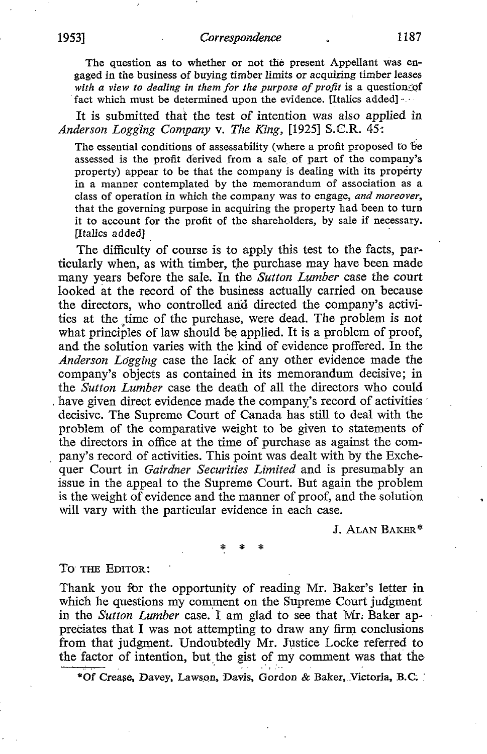The question as to whether or not the present Appellant was engaged in the business of buying timber limits or acquiring timber leases with a view to dealing in them for the purpose of profit is a question of fact which must be determined upon the evidence. [Italics added]

It is submitted that the test of intention was also applied in Anderson Logging Company v. The King, [1925] S.C.R.  $45$ :

The essential conditions of assessability (where a profit proposed to be assessed is the profit derived from a sale of part of the company's property) appear to be that the company is dealing with its property in a manner contemplated by the memorandum of association as a class of operation in which the company was to engage, and moreover, that the governing purpose in acquiring the property had been to turn it to account for the profit of the shareholders, by sale if necessary. [Italics added]

The difficulty of course is to apply this test to the facts, particularly when, as with timber, the purchase may have been made many years before the sale. In the Sutton Lumber case the court looked at the record of the business actually carried on because the directors, who controlled and directed the company's activities at the time of the purchase, were dead. The problem is not what principles of law should be applied. It is a problem of proof, and the solution varies with the kind of evidence proffered. In the Anderson Logging case the lack of any other evidence made the company's objects as contained in its memorandum decisive; in the Sutton Lumber case the death of all the directors who could have given direct evidence made the company's record of activities decisive. The Supreme Court of Canada has still to deal with the problem of the comparative weight to be given to statements of the directors in office at the time of purchase as against the company's record of activities. This point was dealt with by the Exchequer Court in *Gairdner Securities Limited* and is presumably an issue in the appeal to the Supreme Court. But again the problem is the weight of evidence and the manner of proof, and the solution will vary with the particular evidence in each case.

J. ALAN BAKER\*

### TO THE EDITOR:

Thank you for the opportunity of reading Mr. Baker's letter in which he questions my comment on the Supreme Court judgment in the Sutton Lumber case. I am glad to see that Mr. Baker appreciates that I was not attempting to draw any firm conclusions from that judgment. Undoubtedly Mr. Justice Locke referred to the factor of intention, but the gist of my comment was that the

\*of Crease, Davey, Lawson, Davis, Gordon & Baker, .Victoria, B.C.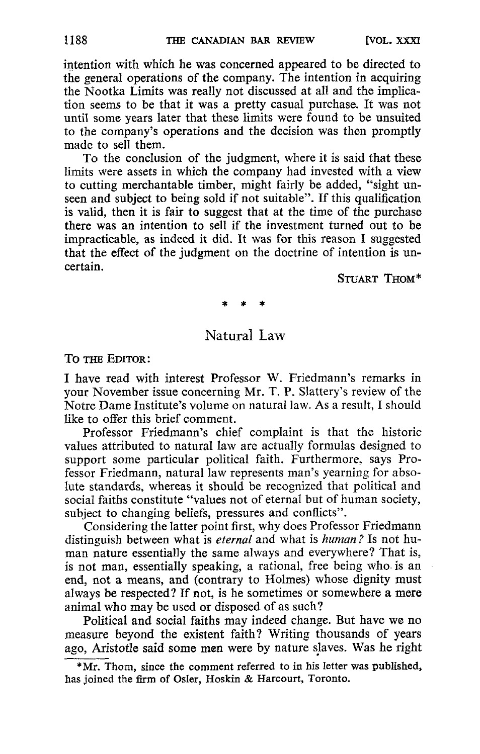intention with which he was concerned appeared to be directed to the general operations of the company. The intention in acquiring the Nootka Limits was really not discussed at all and the implication seems to be that it was a pretty casual purchase. It was not until some years later that these limits were found to be unsuited to the company's operations and the decision was then promptly made to sell them.

To the conclusion of the judgment, where it is said that these limits were assets in which the company had invested with a view to cutting merchantable timber, might fairly be added, "sight unseen and subject to being sold if not suitable". If this qualification is valid, then it is fair to suggest that at the time of the purchase there was an intention to sell if the investment turned out to be impracticable, as indeed it did. It was for this reason <sup>I</sup> suggested that the effect of the judgment on the doctrine of intention is uncertain.

STUART THOM\*

## Natural Law

TO THE EDITOR :

<sup>I</sup> have read with interest Professor W. Friedmann's remarks in your November issue concerning Mr. T. P. Slattery's review of the Notre Dame Institute's volume on natural law. As <sup>a</sup> result, <sup>I</sup> should like to offer this brief comment.

Professor Friedmann's chief complaint is that the historic values attributed to natural law are actually formulas designed to support some particular political faith. Furthermore, says Professor Friedmann, natural law represents man's yearning for absolute standards, whereas it should be recognized that political and social faiths constitute "values not of eternal but of human society, subject to changing beliefs, pressures and conflicts".

Considering the latter point first, whydoes Professor Friedmann distinguish between what is *eternal* and what is *human?* Is not human nature essentially the same always and everywhere? That is, is not man, essentially speaking, a rational, free being who is an end, not a means, and (contrary to Holmes) whose dignity must always be respected? If not, is he sometimes or somewhere a mere animal who may be used or disposed of as such?

Political and social faiths may indeed change. But have we no measure beyond the existent faith? Writing thousands of years ago, Aristotle said some men were by nature slaves. Was he right

<sup>\*</sup>Mr. Thom, since the comment referred to in his letter was published, has joined the firm of Osler, Hoskin & Harcourt, Toronto.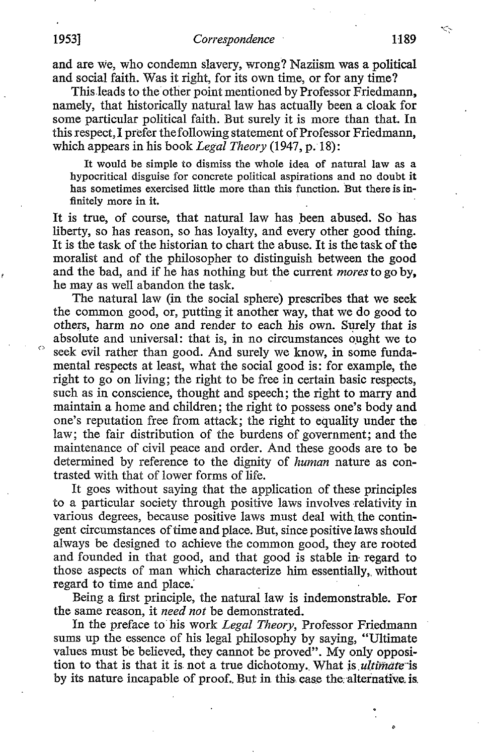and are we, who condemn slavery, wrong? Naziism was a political and social faith. Was it right, for its own time, or for any time?

This leads to the other point mentioned by Professor Friedmann, namely, that historically natural law has actually been a cloak for some particular political faith. But surely it is more than that. In this respect, I prefer the following statement of Professor Friedmann, which appears in his book Legal Theory (1947, p. 18):

It would be simple to dismiss the whole idea of natural law as a hypocritical disguise for concrete political aspirations and no doubt it has sometimes exercised little more than this function. But there is infinitely more in it.

It is true, of course, that natural law has been abused. So has liberty, so has reason, so has loyalty, and every other good thing. It is the task of the historian to chart the abuse. It is the task of the moralist and of the philosopher to distinguish between the good and the bad, and if he has nothing but the current moresto go by, he may as well abandon the task.

The natural law (in the social sphere) prescribes that we seek the common good, or, putting it another way, that we do good to others, harm no one and render to each his own. Surely that is absolute and universal: that is, in no circumstances ought we to seek evil rather than good. And surely we know, in some fundamental respects at least, what the social good is : for example, the right to go on living; the right to be free in certain basic respects, such as in conscience, thought and speech; the right to marry and maintain a home and children; the right to possess one's body and one's reputation free from attack ; the right to equality under the law; the fair distribution of the burdens of government; and the maintenance of civil peace and order. And these goods are to be determined by reference to the dignity of *human* nature as contrasted with that of lower forms of life.

It goes without saying that the application of these principles to a particular society through positive laws involves relativity in various degrees, because positive laws must deal with the contingent circumstances of time and place. But, since positive laws should always be designed to achieve the common good, they are rooted and founded in that good, and that good is stable in regard to those aspects of man which characterize him essentially, without regard to time and place.

Being a first principle, the natural law is indemonstrable. For the same reason, it need not be demonstrated.

In the preface to his work Legal Theory, Professor Friedmann sums up the essence of his legal philosophy by saying, "Ultimate values must be believed, they cannot be proved". My only opposition to that is that it is not a true dichotomy. What is *ultimate* is by its nature incapable of proof. But in this case the alternative is.

Ó

 $\hat{\mathcal{L}}$